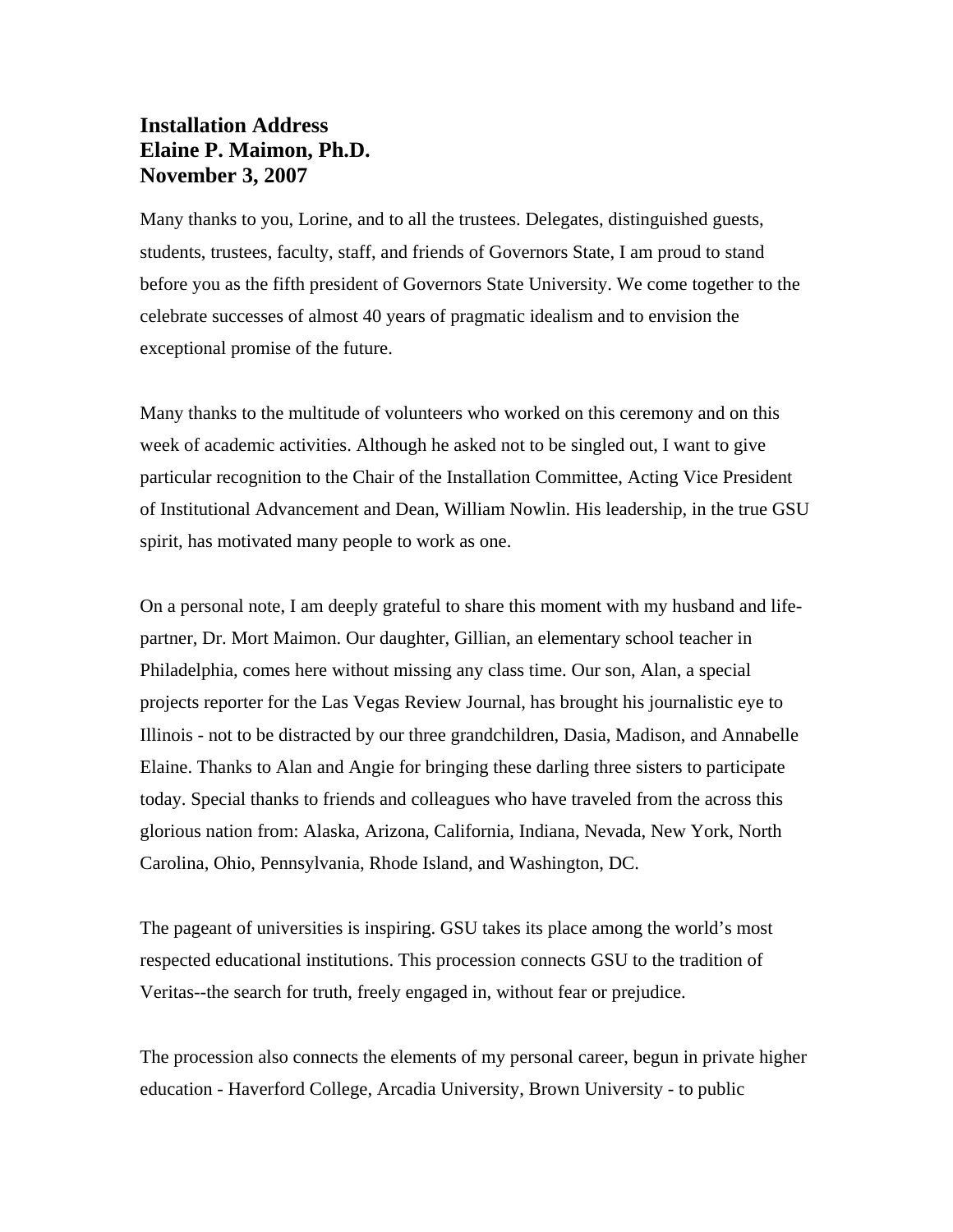## **Installation Address Elaine P. Maimon, Ph.D. November 3, 2007**

Many thanks to you, Lorine, and to all the trustees. Delegates, distinguished guests, students, trustees, faculty, staff, and friends of Governors State, I am proud to stand before you as the fifth president of Governors State University. We come together to the celebrate successes of almost 40 years of pragmatic idealism and to envision the exceptional promise of the future.

Many thanks to the multitude of volunteers who worked on this ceremony and on this week of academic activities. Although he asked not to be singled out, I want to give particular recognition to the Chair of the Installation Committee, Acting Vice President of Institutional Advancement and Dean, William Nowlin. His leadership, in the true GSU spirit, has motivated many people to work as one.

On a personal note, I am deeply grateful to share this moment with my husband and lifepartner, Dr. Mort Maimon. Our daughter, Gillian, an elementary school teacher in Philadelphia, comes here without missing any class time. Our son, Alan, a special projects reporter for the Las Vegas Review Journal, has brought his journalistic eye to Illinois - not to be distracted by our three grandchildren, Dasia, Madison, and Annabelle Elaine. Thanks to Alan and Angie for bringing these darling three sisters to participate today. Special thanks to friends and colleagues who have traveled from the across this glorious nation from: Alaska, Arizona, California, Indiana, Nevada, New York, North Carolina, Ohio, Pennsylvania, Rhode Island, and Washington, DC.

The pageant of universities is inspiring. GSU takes its place among the world's most respected educational institutions. This procession connects GSU to the tradition of Veritas--the search for truth, freely engaged in, without fear or prejudice.

The procession also connects the elements of my personal career, begun in private higher education - Haverford College, Arcadia University, Brown University - to public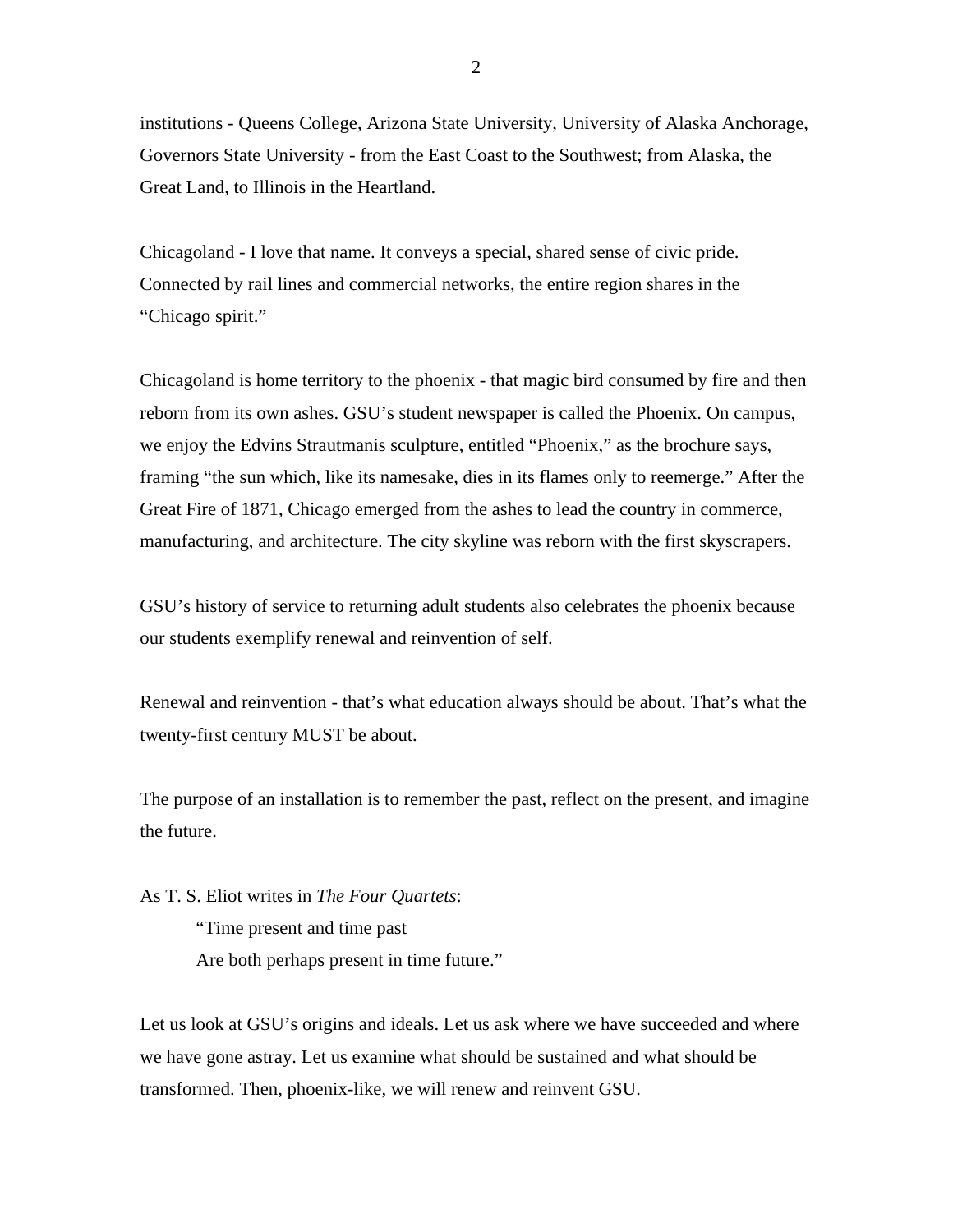institutions - Queens College, Arizona State University, University of Alaska Anchorage, Governors State University - from the East Coast to the Southwest; from Alaska, the Great Land, to Illinois in the Heartland.

Chicagoland - I love that name. It conveys a special, shared sense of civic pride. Connected by rail lines and commercial networks, the entire region shares in the "Chicago spirit."

Chicagoland is home territory to the phoenix - that magic bird consumed by fire and then reborn from its own ashes. GSU's student newspaper is called the Phoenix. On campus, we enjoy the Edvins Strautmanis sculpture, entitled "Phoenix," as the brochure says, framing "the sun which, like its namesake, dies in its flames only to reemerge." After the Great Fire of 1871, Chicago emerged from the ashes to lead the country in commerce, manufacturing, and architecture. The city skyline was reborn with the first skyscrapers.

GSU's history of service to returning adult students also celebrates the phoenix because our students exemplify renewal and reinvention of self.

Renewal and reinvention - that's what education always should be about. That's what the twenty-first century MUST be about.

The purpose of an installation is to remember the past, reflect on the present, and imagine the future.

As T. S. Eliot writes in *The Four Quartets*:

 "Time present and time past Are both perhaps present in time future."

Let us look at GSU's origins and ideals. Let us ask where we have succeeded and where we have gone astray. Let us examine what should be sustained and what should be transformed. Then, phoenix-like, we will renew and reinvent GSU.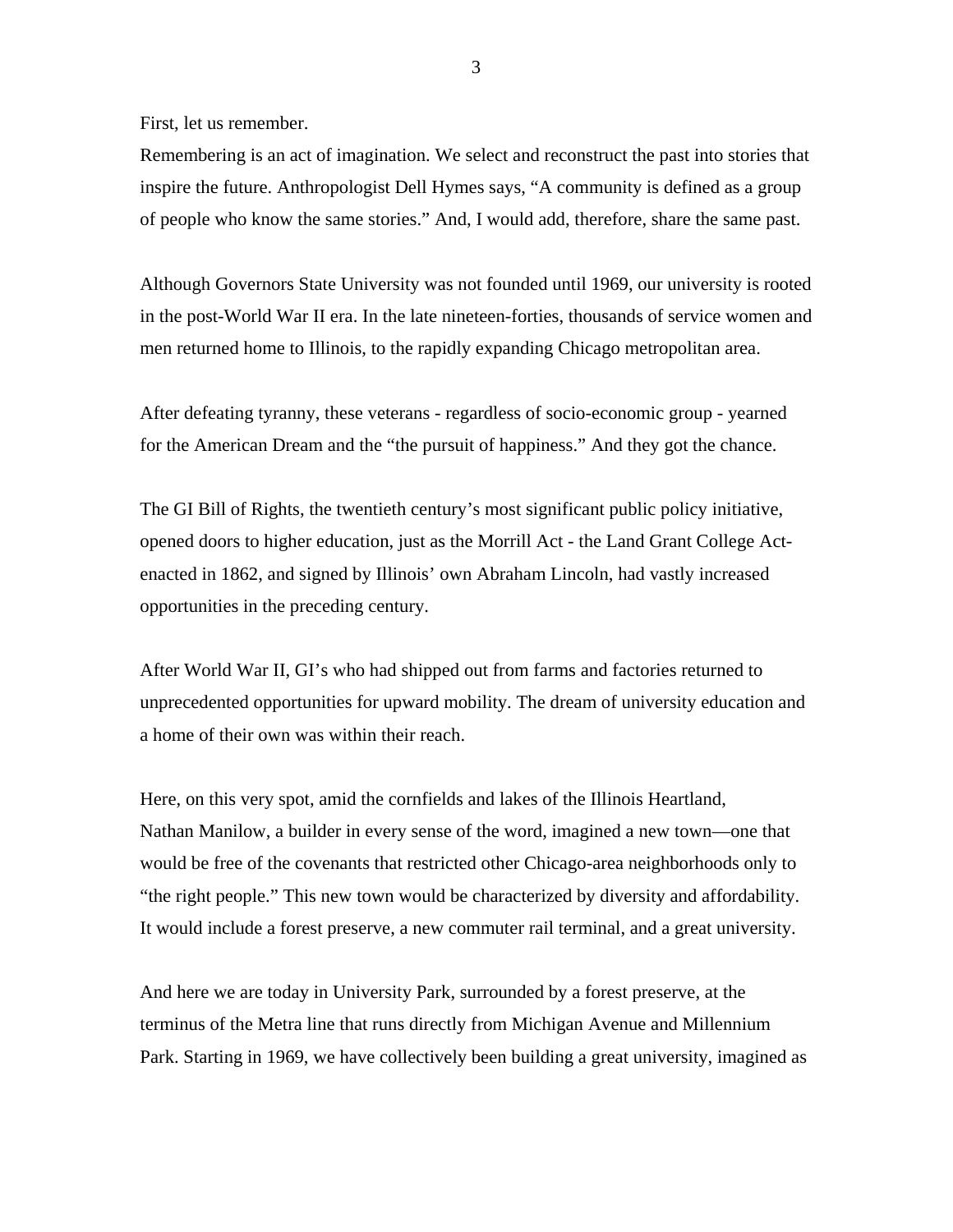First, let us remember.

Remembering is an act of imagination. We select and reconstruct the past into stories that inspire the future. Anthropologist Dell Hymes says, "A community is defined as a group of people who know the same stories." And, I would add, therefore, share the same past.

Although Governors State University was not founded until 1969, our university is rooted in the post-World War II era. In the late nineteen-forties, thousands of service women and men returned home to Illinois, to the rapidly expanding Chicago metropolitan area.

After defeating tyranny, these veterans - regardless of socio-economic group - yearned for the American Dream and the "the pursuit of happiness." And they got the chance.

The GI Bill of Rights, the twentieth century's most significant public policy initiative, opened doors to higher education, just as the Morrill Act - the Land Grant College Actenacted in 1862, and signed by Illinois' own Abraham Lincoln, had vastly increased opportunities in the preceding century.

After World War II, GI's who had shipped out from farms and factories returned to unprecedented opportunities for upward mobility. The dream of university education and a home of their own was within their reach.

Here, on this very spot, amid the cornfields and lakes of the Illinois Heartland, Nathan Manilow, a builder in every sense of the word, imagined a new town—one that would be free of the covenants that restricted other Chicago-area neighborhoods only to "the right people." This new town would be characterized by diversity and affordability. It would include a forest preserve, a new commuter rail terminal, and a great university.

And here we are today in University Park, surrounded by a forest preserve, at the terminus of the Metra line that runs directly from Michigan Avenue and Millennium Park. Starting in 1969, we have collectively been building a great university, imagined as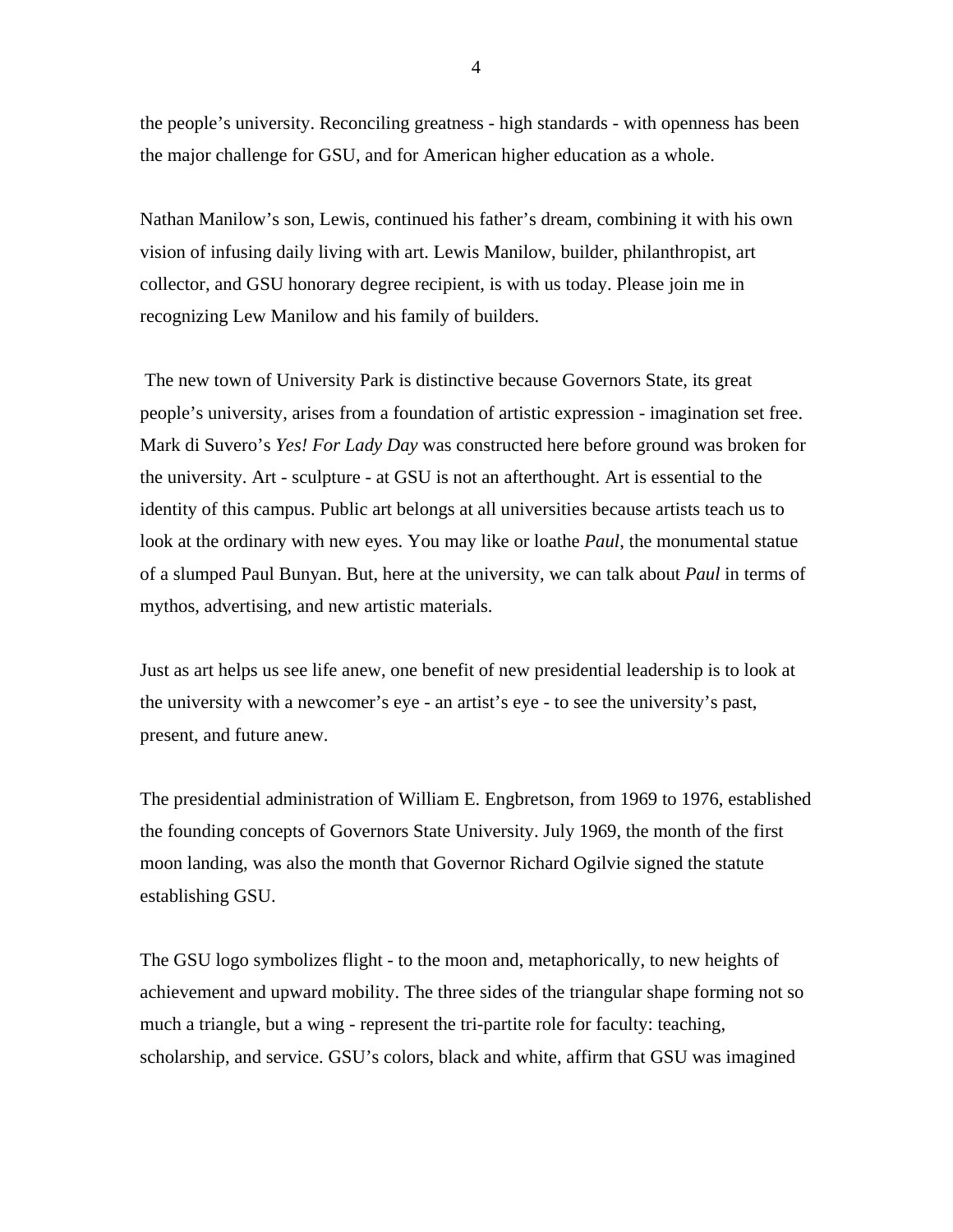the people's university. Reconciling greatness - high standards - with openness has been the major challenge for GSU, and for American higher education as a whole.

Nathan Manilow's son, Lewis, continued his father's dream, combining it with his own vision of infusing daily living with art. Lewis Manilow, builder, philanthropist, art collector, and GSU honorary degree recipient, is with us today. Please join me in recognizing Lew Manilow and his family of builders.

 The new town of University Park is distinctive because Governors State, its great people's university, arises from a foundation of artistic expression - imagination set free. Mark di Suvero's *Yes! For Lady Day* was constructed here before ground was broken for the university. Art - sculpture - at GSU is not an afterthought. Art is essential to the identity of this campus. Public art belongs at all universities because artists teach us to look at the ordinary with new eyes. You may like or loathe *Paul*, the monumental statue of a slumped Paul Bunyan. But, here at the university, we can talk about *Paul* in terms of mythos, advertising, and new artistic materials.

Just as art helps us see life anew, one benefit of new presidential leadership is to look at the university with a newcomer's eye - an artist's eye - to see the university's past, present, and future anew.

The presidential administration of William E. Engbretson, from 1969 to 1976, established the founding concepts of Governors State University. July 1969, the month of the first moon landing, was also the month that Governor Richard Ogilvie signed the statute establishing GSU.

The GSU logo symbolizes flight - to the moon and, metaphorically, to new heights of achievement and upward mobility. The three sides of the triangular shape forming not so much a triangle, but a wing - represent the tri-partite role for faculty: teaching, scholarship, and service. GSU's colors, black and white, affirm that GSU was imagined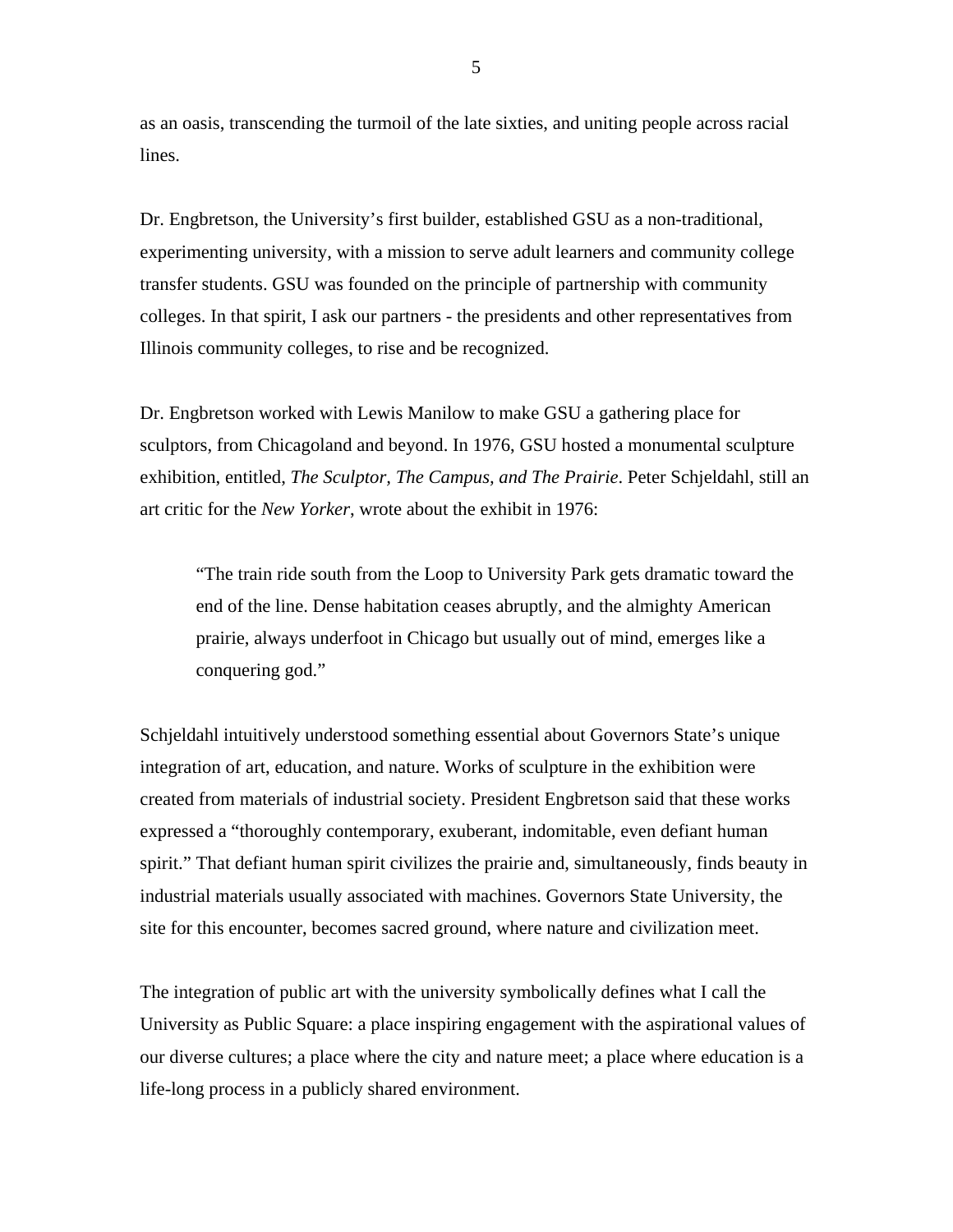as an oasis, transcending the turmoil of the late sixties, and uniting people across racial lines.

Dr. Engbretson, the University's first builder, established GSU as a non-traditional, experimenting university, with a mission to serve adult learners and community college transfer students. GSU was founded on the principle of partnership with community colleges. In that spirit, I ask our partners - the presidents and other representatives from Illinois community colleges, to rise and be recognized.

Dr. Engbretson worked with Lewis Manilow to make GSU a gathering place for sculptors, from Chicagoland and beyond. In 1976, GSU hosted a monumental sculpture exhibition, entitled, *The Sculptor, The Campus, and The Prairie*. Peter Schjeldahl, still an art critic for the *New Yorker*, wrote about the exhibit in 1976:

"The train ride south from the Loop to University Park gets dramatic toward the end of the line. Dense habitation ceases abruptly, and the almighty American prairie, always underfoot in Chicago but usually out of mind, emerges like a conquering god."

Schjeldahl intuitively understood something essential about Governors State's unique integration of art, education, and nature. Works of sculpture in the exhibition were created from materials of industrial society. President Engbretson said that these works expressed a "thoroughly contemporary, exuberant, indomitable, even defiant human spirit." That defiant human spirit civilizes the prairie and, simultaneously, finds beauty in industrial materials usually associated with machines. Governors State University, the site for this encounter, becomes sacred ground, where nature and civilization meet.

The integration of public art with the university symbolically defines what I call the University as Public Square: a place inspiring engagement with the aspirational values of our diverse cultures; a place where the city and nature meet; a place where education is a life-long process in a publicly shared environment.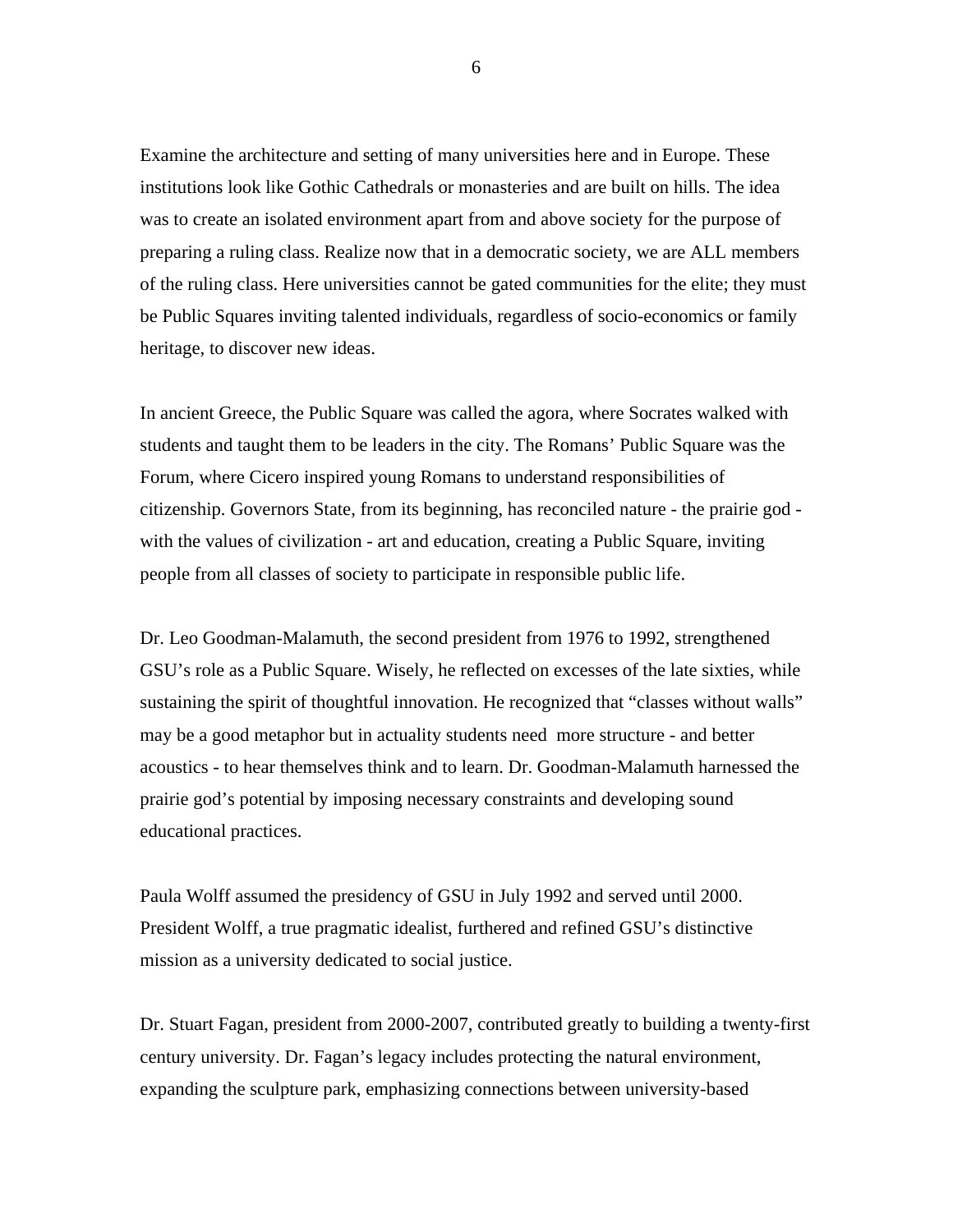Examine the architecture and setting of many universities here and in Europe. These institutions look like Gothic Cathedrals or monasteries and are built on hills. The idea was to create an isolated environment apart from and above society for the purpose of preparing a ruling class. Realize now that in a democratic society, we are ALL members of the ruling class. Here universities cannot be gated communities for the elite; they must be Public Squares inviting talented individuals, regardless of socio-economics or family heritage, to discover new ideas.

In ancient Greece, the Public Square was called the agora, where Socrates walked with students and taught them to be leaders in the city. The Romans' Public Square was the Forum, where Cicero inspired young Romans to understand responsibilities of citizenship. Governors State, from its beginning, has reconciled nature - the prairie god with the values of civilization - art and education, creating a Public Square, inviting people from all classes of society to participate in responsible public life.

Dr. Leo Goodman-Malamuth, the second president from 1976 to 1992, strengthened GSU's role as a Public Square. Wisely, he reflected on excesses of the late sixties, while sustaining the spirit of thoughtful innovation. He recognized that "classes without walls" may be a good metaphor but in actuality students need more structure - and better acoustics - to hear themselves think and to learn. Dr. Goodman-Malamuth harnessed the prairie god's potential by imposing necessary constraints and developing sound educational practices.

Paula Wolff assumed the presidency of GSU in July 1992 and served until 2000. President Wolff, a true pragmatic idealist, furthered and refined GSU's distinctive mission as a university dedicated to social justice.

Dr. Stuart Fagan, president from 2000-2007, contributed greatly to building a twenty-first century university. Dr. Fagan's legacy includes protecting the natural environment, expanding the sculpture park, emphasizing connections between university-based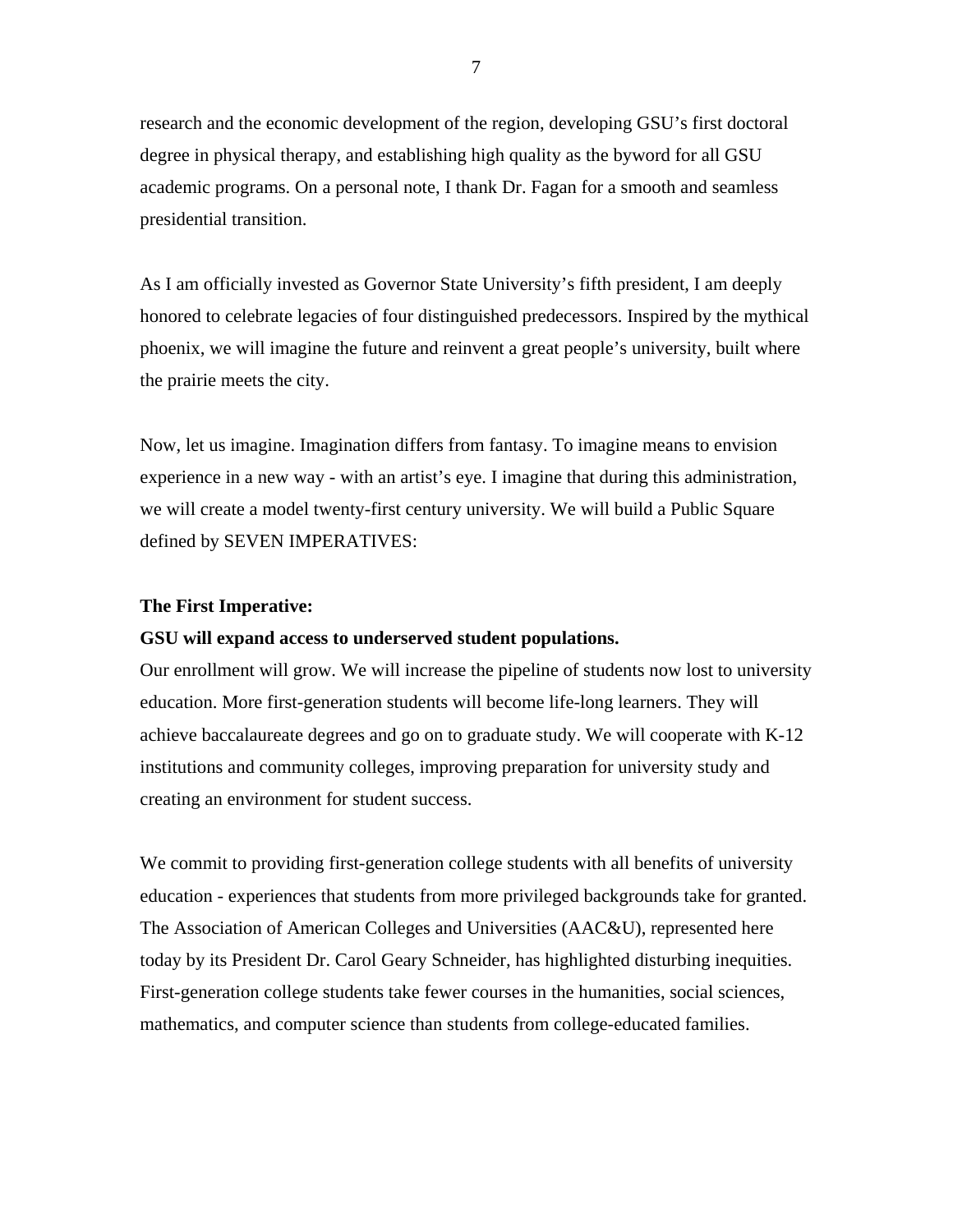research and the economic development of the region, developing GSU's first doctoral degree in physical therapy, and establishing high quality as the byword for all GSU academic programs. On a personal note, I thank Dr. Fagan for a smooth and seamless presidential transition.

As I am officially invested as Governor State University's fifth president, I am deeply honored to celebrate legacies of four distinguished predecessors. Inspired by the mythical phoenix, we will imagine the future and reinvent a great people's university, built where the prairie meets the city.

Now, let us imagine. Imagination differs from fantasy. To imagine means to envision experience in a new way - with an artist's eye. I imagine that during this administration, we will create a model twenty-first century university. We will build a Public Square defined by SEVEN IMPERATIVES:

### **The First Imperative:**

## **GSU will expand access to underserved student populations.**

Our enrollment will grow. We will increase the pipeline of students now lost to university education. More first-generation students will become life-long learners. They will achieve baccalaureate degrees and go on to graduate study. We will cooperate with K-12 institutions and community colleges, improving preparation for university study and creating an environment for student success.

We commit to providing first-generation college students with all benefits of university education - experiences that students from more privileged backgrounds take for granted. The Association of American Colleges and Universities (AAC&U), represented here today by its President Dr. Carol Geary Schneider, has highlighted disturbing inequities. First-generation college students take fewer courses in the humanities, social sciences, mathematics, and computer science than students from college-educated families.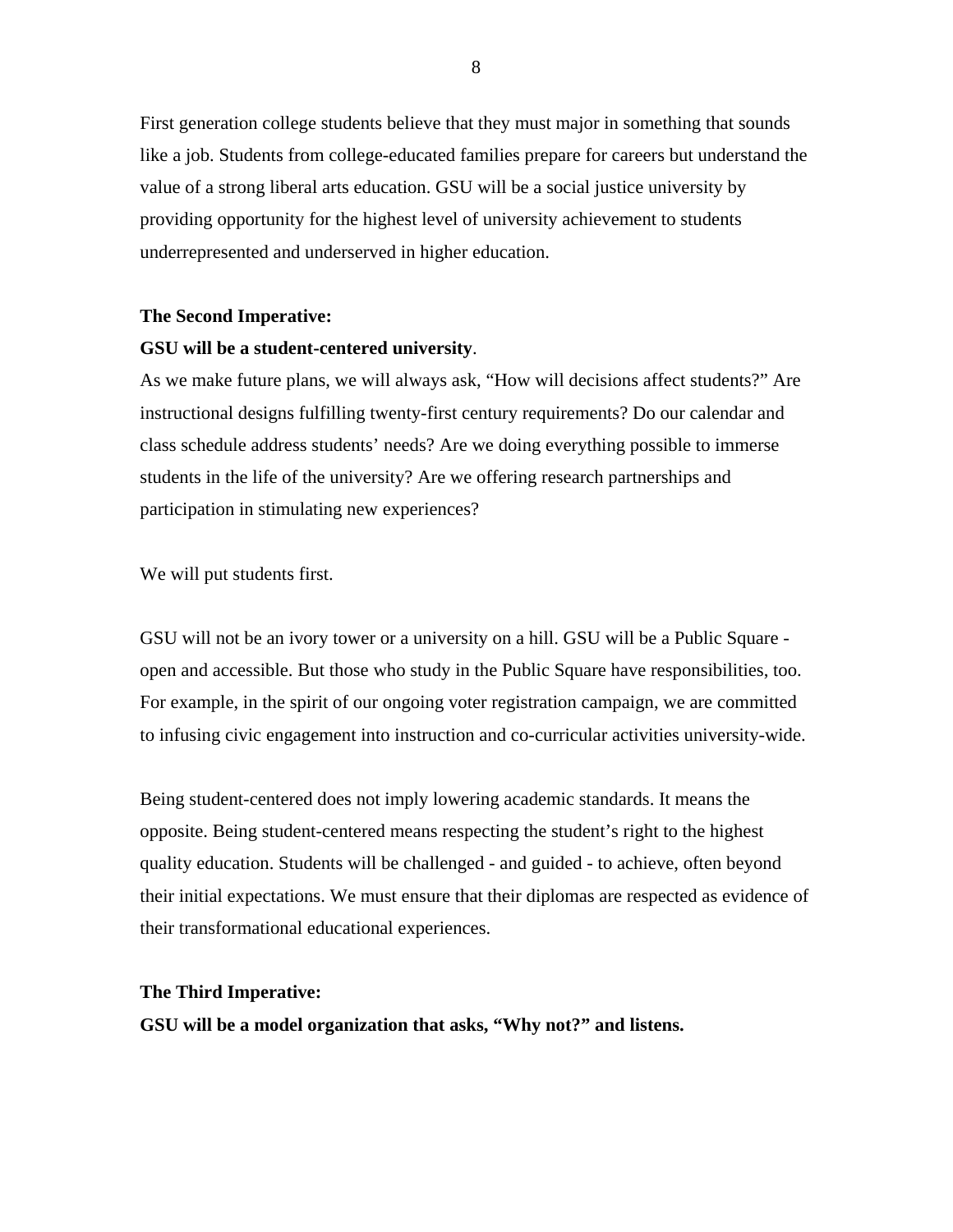First generation college students believe that they must major in something that sounds like a job. Students from college-educated families prepare for careers but understand the value of a strong liberal arts education. GSU will be a social justice university by providing opportunity for the highest level of university achievement to students underrepresented and underserved in higher education.

#### **The Second Imperative:**

#### **GSU will be a student-centered university**.

As we make future plans, we will always ask, "How will decisions affect students?" Are instructional designs fulfilling twenty-first century requirements? Do our calendar and class schedule address students' needs? Are we doing everything possible to immerse students in the life of the university? Are we offering research partnerships and participation in stimulating new experiences?

We will put students first.

GSU will not be an ivory tower or a university on a hill. GSU will be a Public Square open and accessible. But those who study in the Public Square have responsibilities, too. For example, in the spirit of our ongoing voter registration campaign, we are committed to infusing civic engagement into instruction and co-curricular activities university-wide.

Being student-centered does not imply lowering academic standards. It means the opposite. Being student-centered means respecting the student's right to the highest quality education. Students will be challenged - and guided - to achieve, often beyond their initial expectations. We must ensure that their diplomas are respected as evidence of their transformational educational experiences.

## **The Third Imperative:**

**GSU will be a model organization that asks, "Why not?" and listens.**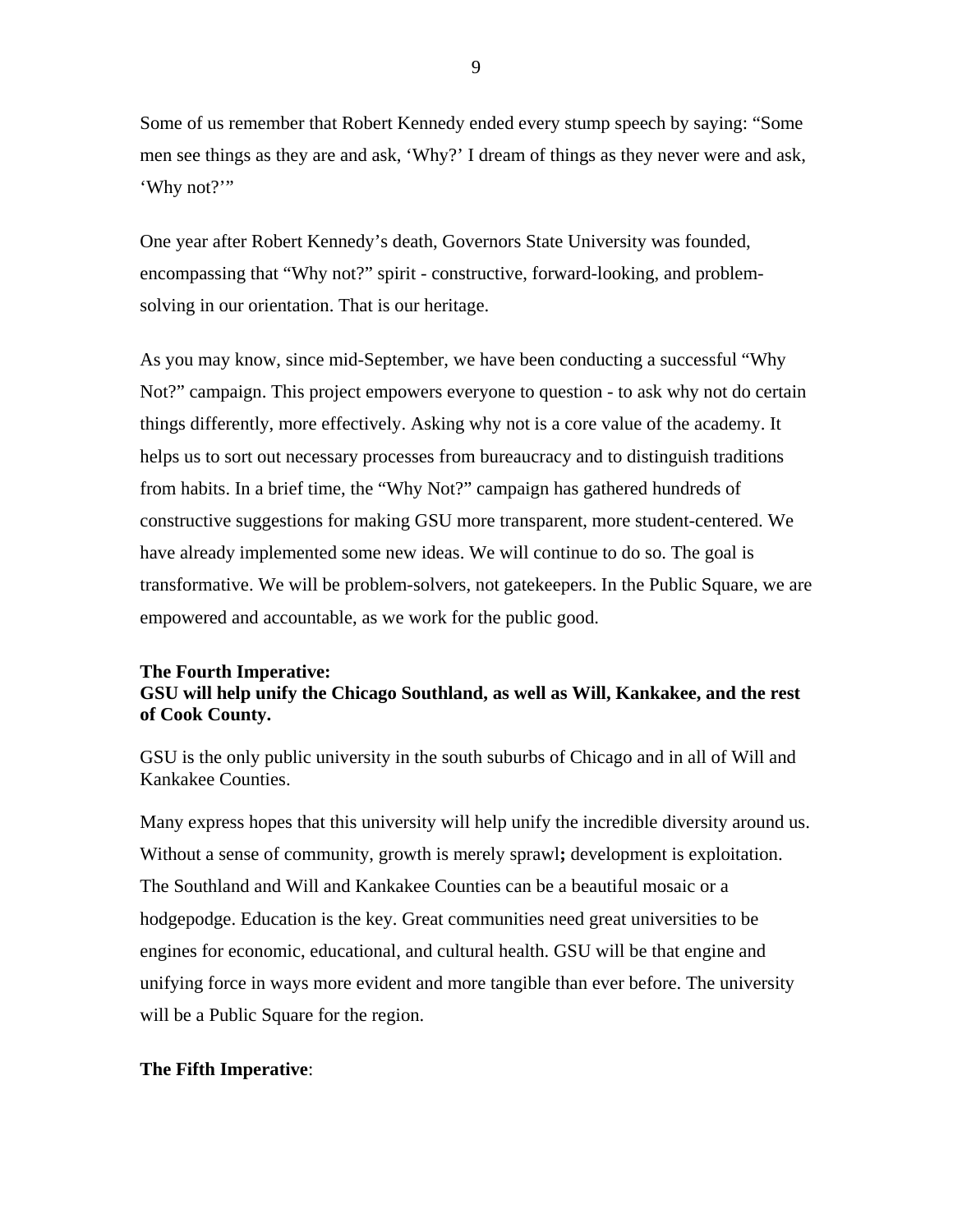Some of us remember that Robert Kennedy ended every stump speech by saying: "Some men see things as they are and ask, 'Why?' I dream of things as they never were and ask, 'Why not?'"

One year after Robert Kennedy's death, Governors State University was founded, encompassing that "Why not?" spirit - constructive, forward-looking, and problemsolving in our orientation. That is our heritage.

As you may know, since mid-September, we have been conducting a successful "Why Not?" campaign. This project empowers everyone to question - to ask why not do certain things differently, more effectively. Asking why not is a core value of the academy. It helps us to sort out necessary processes from bureaucracy and to distinguish traditions from habits. In a brief time, the "Why Not?" campaign has gathered hundreds of constructive suggestions for making GSU more transparent, more student-centered. We have already implemented some new ideas. We will continue to do so. The goal is transformative. We will be problem-solvers, not gatekeepers. In the Public Square, we are empowered and accountable, as we work for the public good.

## **The Fourth Imperative: GSU will help unify the Chicago Southland, as well as Will, Kankakee, and the rest of Cook County.**

GSU is the only public university in the south suburbs of Chicago and in all of Will and Kankakee Counties.

Many express hopes that this university will help unify the incredible diversity around us. Without a sense of community, growth is merely sprawl**;** development is exploitation. The Southland and Will and Kankakee Counties can be a beautiful mosaic or a hodgepodge. Education is the key. Great communities need great universities to be engines for economic, educational, and cultural health. GSU will be that engine and unifying force in ways more evident and more tangible than ever before. The university will be a Public Square for the region.

## **The Fifth Imperative**: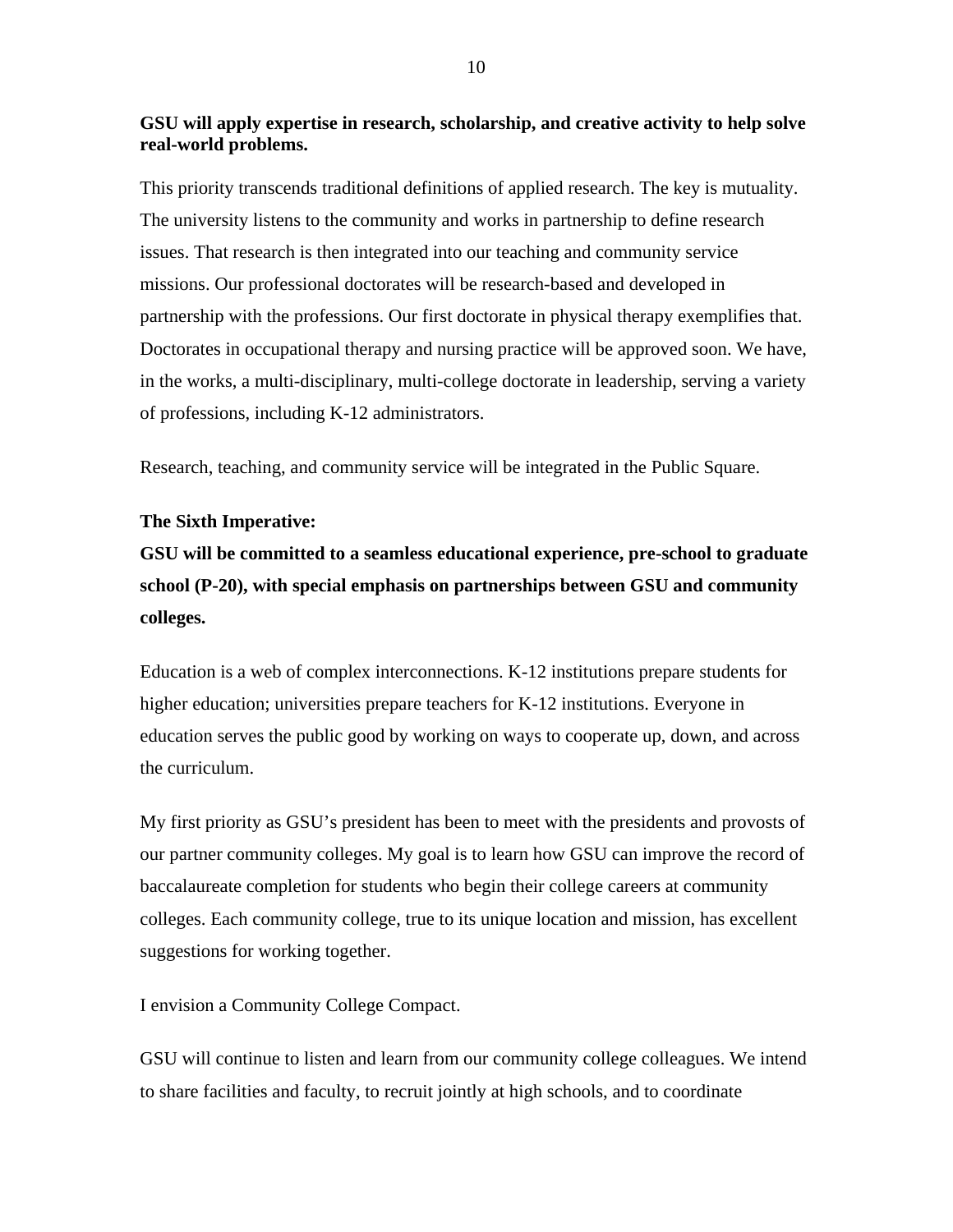## **GSU will apply expertise in research, scholarship, and creative activity to help solve real-world problems.**

This priority transcends traditional definitions of applied research. The key is mutuality. The university listens to the community and works in partnership to define research issues. That research is then integrated into our teaching and community service missions. Our professional doctorates will be research-based and developed in partnership with the professions. Our first doctorate in physical therapy exemplifies that. Doctorates in occupational therapy and nursing practice will be approved soon. We have, in the works, a multi-disciplinary, multi-college doctorate in leadership, serving a variety of professions, including K-12 administrators.

Research, teaching, and community service will be integrated in the Public Square.

## **The Sixth Imperative:**

# **GSU will be committed to a seamless educational experience, pre-school to graduate school (P-20), with special emphasis on partnerships between GSU and community colleges.**

Education is a web of complex interconnections. K-12 institutions prepare students for higher education; universities prepare teachers for K-12 institutions. Everyone in education serves the public good by working on ways to cooperate up, down, and across the curriculum.

My first priority as GSU's president has been to meet with the presidents and provosts of our partner community colleges. My goal is to learn how GSU can improve the record of baccalaureate completion for students who begin their college careers at community colleges. Each community college, true to its unique location and mission, has excellent suggestions for working together.

I envision a Community College Compact.

GSU will continue to listen and learn from our community college colleagues. We intend to share facilities and faculty, to recruit jointly at high schools, and to coordinate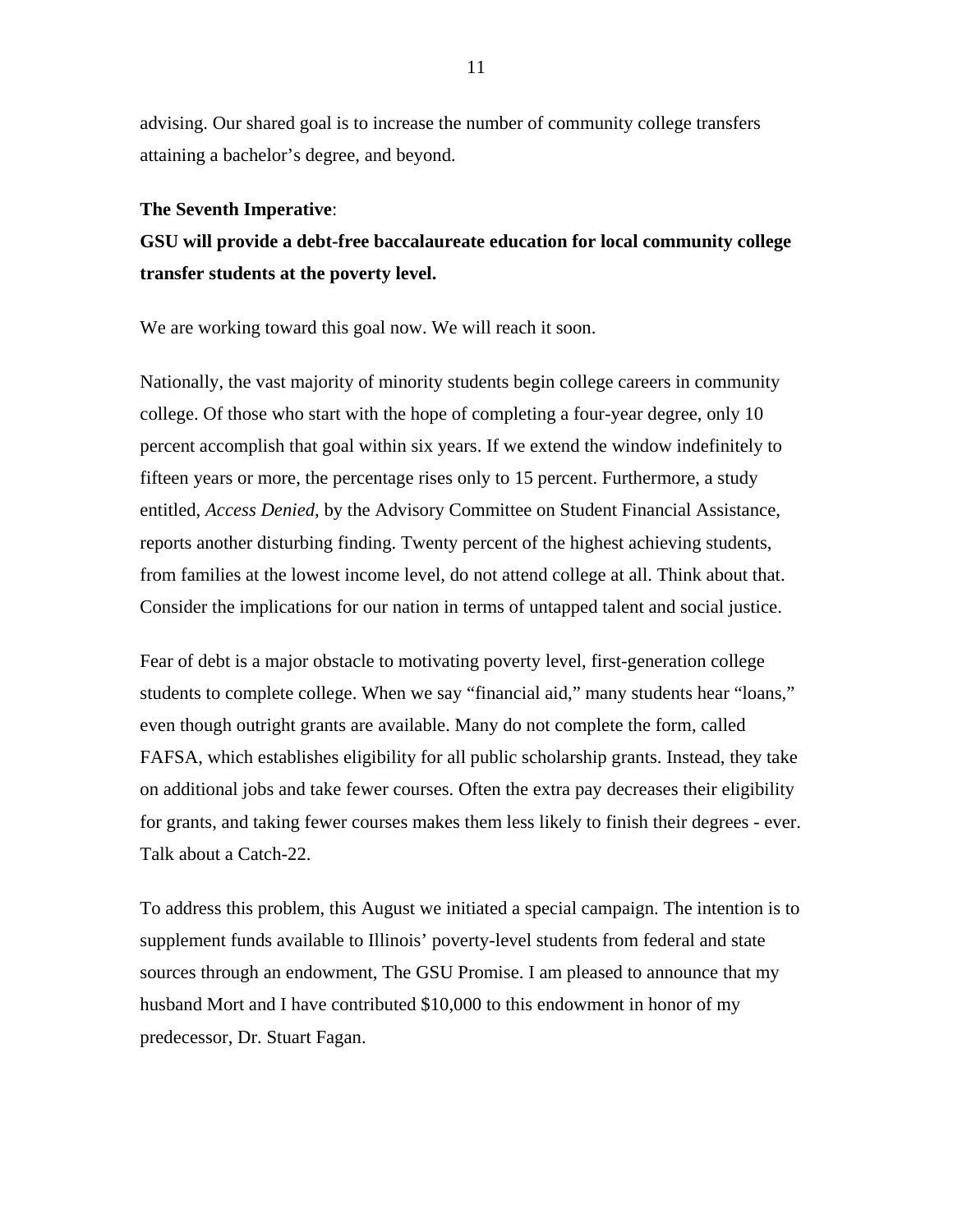advising. Our shared goal is to increase the number of community college transfers attaining a bachelor's degree, and beyond.

#### **The Seventh Imperative**:

**GSU will provide a debt-free baccalaureate education for local community college transfer students at the poverty level.** 

We are working toward this goal now. We will reach it soon.

Nationally, the vast majority of minority students begin college careers in community college. Of those who start with the hope of completing a four-year degree, only 10 percent accomplish that goal within six years. If we extend the window indefinitely to fifteen years or more, the percentage rises only to 15 percent. Furthermore, a study entitled, *Access Denied*, by the Advisory Committee on Student Financial Assistance, reports another disturbing finding. Twenty percent of the highest achieving students, from families at the lowest income level, do not attend college at all. Think about that. Consider the implications for our nation in terms of untapped talent and social justice.

Fear of debt is a major obstacle to motivating poverty level, first-generation college students to complete college. When we say "financial aid," many students hear "loans," even though outright grants are available. Many do not complete the form, called FAFSA, which establishes eligibility for all public scholarship grants. Instead, they take on additional jobs and take fewer courses. Often the extra pay decreases their eligibility for grants, and taking fewer courses makes them less likely to finish their degrees - ever. Talk about a Catch-22.

To address this problem, this August we initiated a special campaign. The intention is to supplement funds available to Illinois' poverty-level students from federal and state sources through an endowment, The GSU Promise. I am pleased to announce that my husband Mort and I have contributed \$10,000 to this endowment in honor of my predecessor, Dr. Stuart Fagan.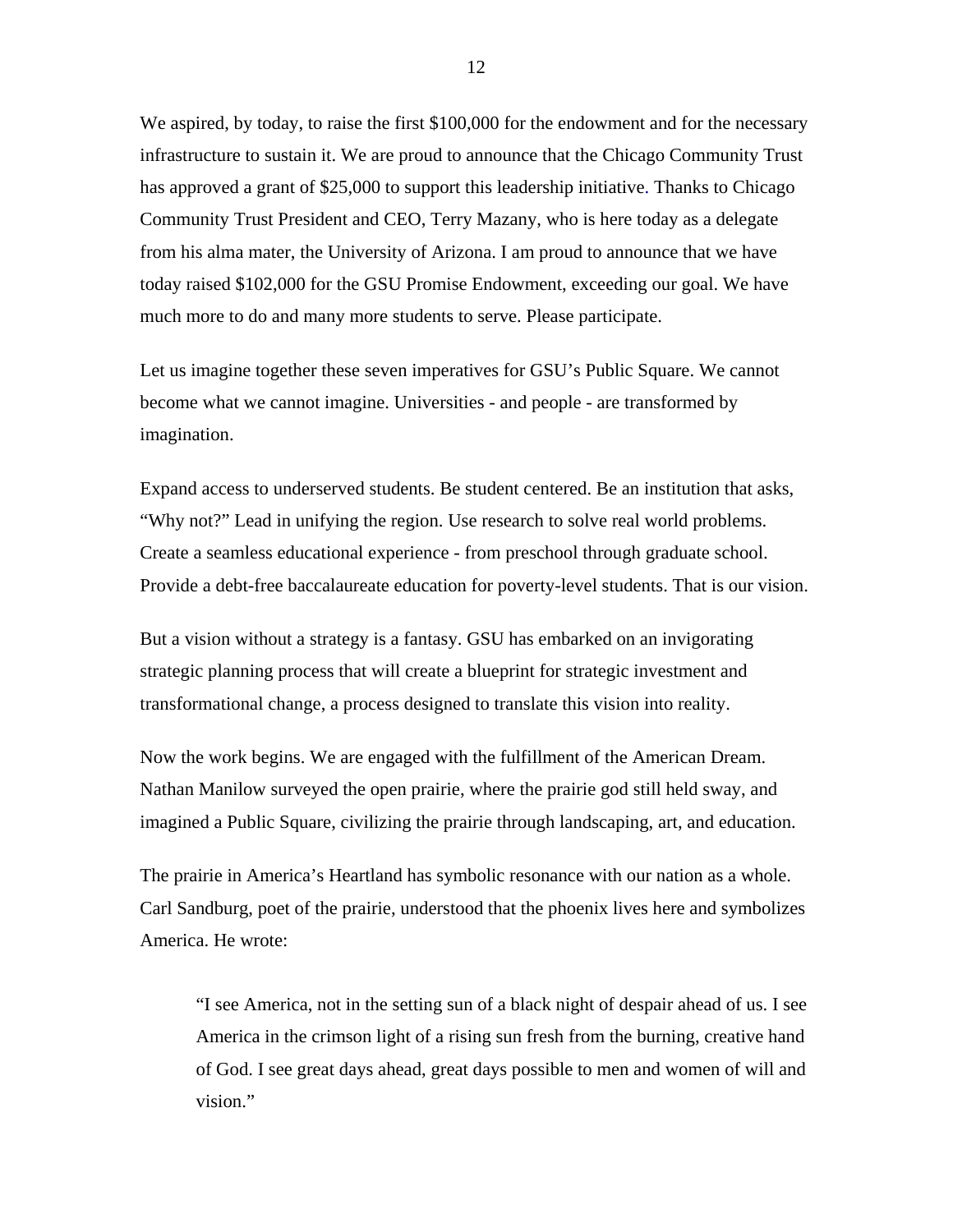We aspired, by today, to raise the first \$100,000 for the endowment and for the necessary infrastructure to sustain it. We are proud to announce that the Chicago Community Trust has approved a grant of \$25,000 to support this leadership initiative. Thanks to Chicago Community Trust President and CEO, Terry Mazany, who is here today as a delegate from his alma mater, the University of Arizona. I am proud to announce that we have today raised \$102,000 for the GSU Promise Endowment, exceeding our goal. We have much more to do and many more students to serve. Please participate.

Let us imagine together these seven imperatives for GSU's Public Square. We cannot become what we cannot imagine. Universities - and people - are transformed by imagination.

Expand access to underserved students. Be student centered. Be an institution that asks, "Why not?" Lead in unifying the region. Use research to solve real world problems. Create a seamless educational experience - from preschool through graduate school. Provide a debt-free baccalaureate education for poverty-level students. That is our vision.

But a vision without a strategy is a fantasy. GSU has embarked on an invigorating strategic planning process that will create a blueprint for strategic investment and transformational change, a process designed to translate this vision into reality.

Now the work begins. We are engaged with the fulfillment of the American Dream. Nathan Manilow surveyed the open prairie, where the prairie god still held sway, and imagined a Public Square, civilizing the prairie through landscaping, art, and education.

The prairie in America's Heartland has symbolic resonance with our nation as a whole. Carl Sandburg, poet of the prairie, understood that the phoenix lives here and symbolizes America. He wrote:

"I see America, not in the setting sun of a black night of despair ahead of us. I see America in the crimson light of a rising sun fresh from the burning, creative hand of God. I see great days ahead, great days possible to men and women of will and vision."